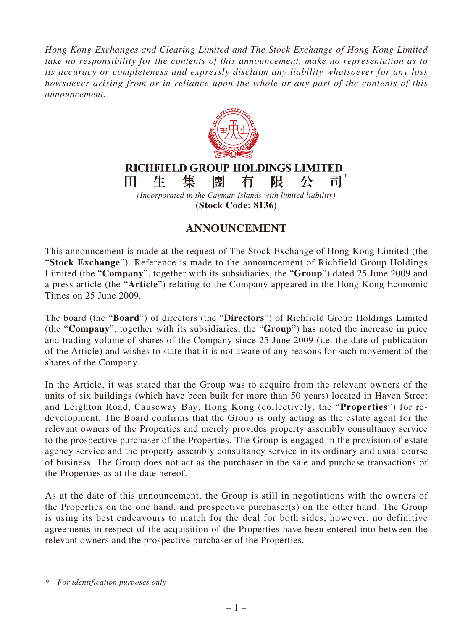*Hong Kong Exchanges and Clearing Limited and The Stock Exchange of Hong Kong Limited take no responsibility for the contents of this announcement, make no representation as to its accuracy or completeness and expressly disclaim any liability whatsoever for any loss howsoever arising from or in reliance upon the whole or any part of the contents of this announcement.*



## **ANNOUNCEMENT**

This announcement is made at the request of The Stock Exchange of Hong Kong Limited (the "**Stock Exchange**"). Reference is made to the announcement of Richfield Group Holdings Limited (the "**Company**", together with its subsidiaries, the "**Group**") dated 25 June 2009 and a press article (the "**Article**") relating to the Company appeared in the Hong Kong Economic Times on 25 June 2009.

The board (the "**Board**") of directors (the "**Directors**") of Richfield Group Holdings Limited (the "**Company**", together with its subsidiaries, the "**Group**") has noted the increase in price and trading volume of shares of the Company since 25 June 2009 (i.e. the date of publication of the Article) and wishes to state that it is not aware of any reasons for such movement of the shares of the Company.

In the Article, it was stated that the Group was to acquire from the relevant owners of the units of six buildings (which have been built for more than 50 years) located in Haven Street and Leighton Road, Causeway Bay, Hong Kong (collectively, the "**Properties**") for redevelopment. The Board confirms that the Group is only acting as the estate agent for the relevant owners of the Properties and merely provides property assembly consultancy service to the prospective purchaser of the Properties. The Group is engaged in the provision of estate agency service and the property assembly consultancy service in its ordinary and usual course of business. The Group does not act as the purchaser in the sale and purchase transactions of the Properties as at the date hereof.

As at the date of this announcement, the Group is still in negotiations with the owners of the Properties on the one hand, and prospective purchaser(s) on the other hand. The Group is using its best endeavours to match for the deal for both sides, however, no definitive agreements in respect of the acquisition of the Properties have been entered into between the relevant owners and the prospective purchaser of the Properties.

*<sup>\*</sup> For identification purposes only*